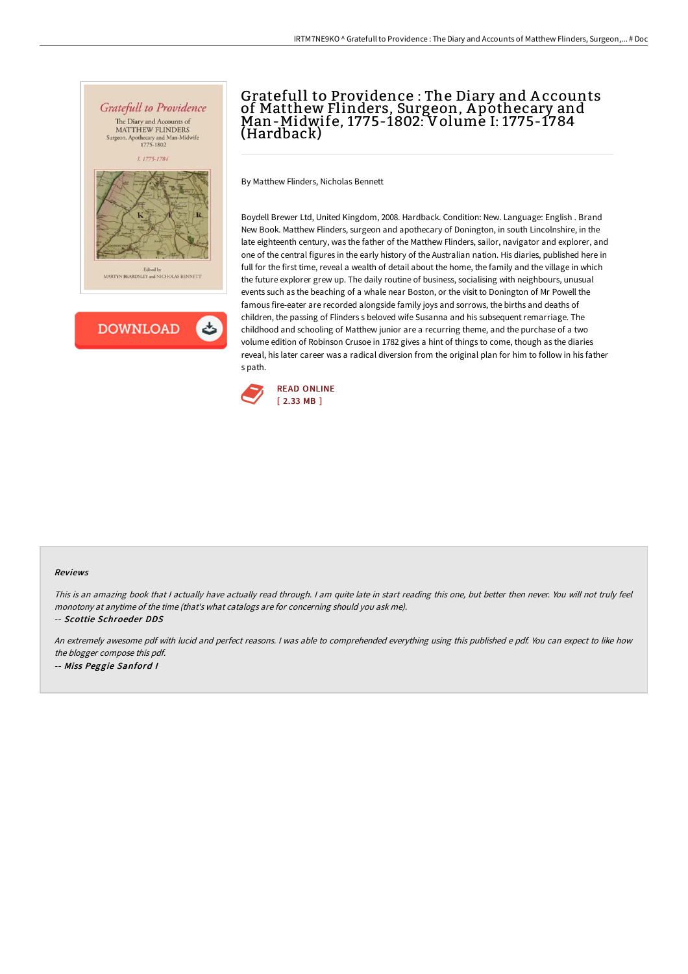



## Gratefull to Providence : The Diary and A ccounts of Matthew Flinders, Surgeon, A pothecary and Man-Midwife, 1775-1802: Volume I: 1775-1784 (Hardback)

By Matthew Flinders, Nicholas Bennett

Boydell Brewer Ltd, United Kingdom, 2008. Hardback. Condition: New. Language: English . Brand New Book. Matthew Flinders, surgeon and apothecary of Donington, in south Lincolnshire, in the late eighteenth century, was the father of the Matthew Flinders, sailor, navigator and explorer, and one of the central figures in the early history of the Australian nation. His diaries, published here in full for the first time, reveal a wealth of detail about the home, the family and the village in which the future explorer grew up. The daily routine of business, socialising with neighbours, unusual events such as the beaching of a whale near Boston, or the visit to Donington of Mr Powell the famous fire-eater are recorded alongside family joys and sorrows, the births and deaths of children, the passing of Flinders s beloved wife Susanna and his subsequent remarriage. The childhood and schooling of Matthew junior are a recurring theme, and the purchase of a two volume edition of Robinson Crusoe in 1782 gives a hint of things to come, though as the diaries reveal, his later career was a radical diversion from the original plan for him to follow in his father s path.



## Reviews

This is an amazing book that <sup>I</sup> actually have actually read through. <sup>I</sup> am quite late in start reading this one, but better then never. You will not truly feel monotony at anytime of the time (that's what catalogs are for concerning should you ask me).

-- Scottie Schroeder DDS

An extremely awesome pdf with lucid and perfect reasons. <sup>I</sup> was able to comprehended everything using this published <sup>e</sup> pdf. You can expect to like how the blogger compose this pdf. -- Miss Peggie Sanford <sup>I</sup>